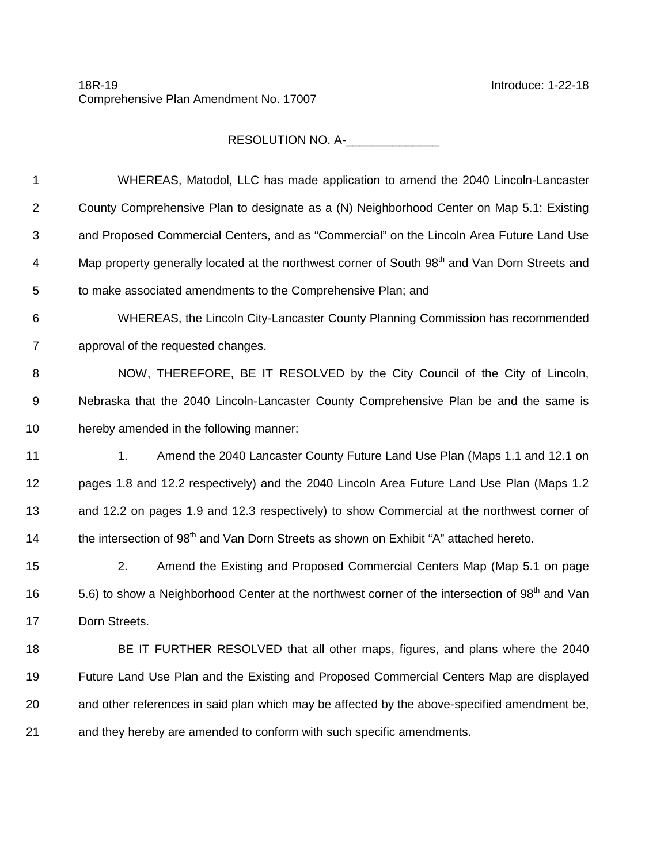## 18R-19 Introduce: 1-22-18 Comprehensive Plan Amendment No. 17007

RESOLUTION NO. A-\_\_\_\_\_\_\_\_\_\_\_\_\_\_

| 1              | WHEREAS, Matodol, LLC has made application to amend the 2040 Lincoln-Lancaster                             |
|----------------|------------------------------------------------------------------------------------------------------------|
| $\overline{2}$ | County Comprehensive Plan to designate as a (N) Neighborhood Center on Map 5.1: Existing                   |
| 3              | and Proposed Commercial Centers, and as "Commercial" on the Lincoln Area Future Land Use                   |
| 4              | Map property generally located at the northwest corner of South 98 <sup>th</sup> and Van Dorn Streets and  |
| 5              | to make associated amendments to the Comprehensive Plan; and                                               |
| 6              | WHEREAS, the Lincoln City-Lancaster County Planning Commission has recommended                             |
| $\overline{7}$ | approval of the requested changes.                                                                         |
| 8              | NOW, THEREFORE, BE IT RESOLVED by the City Council of the City of Lincoln,                                 |
| 9              | Nebraska that the 2040 Lincoln-Lancaster County Comprehensive Plan be and the same is                      |
| 10             | hereby amended in the following manner:                                                                    |
| 11             | 1.<br>Amend the 2040 Lancaster County Future Land Use Plan (Maps 1.1 and 12.1 on                           |
| 12             | pages 1.8 and 12.2 respectively) and the 2040 Lincoln Area Future Land Use Plan (Maps 1.2                  |
| 13             | and 12.2 on pages 1.9 and 12.3 respectively) to show Commercial at the northwest corner of                 |
| 14             | the intersection of 98 <sup>th</sup> and Van Dorn Streets as shown on Exhibit "A" attached hereto.         |
| 15             | 2.<br>Amend the Existing and Proposed Commercial Centers Map (Map 5.1 on page                              |
| 16             | 5.6) to show a Neighborhood Center at the northwest corner of the intersection of 98 <sup>th</sup> and Van |
| 17             | Dorn Streets.                                                                                              |
| 18             | BE IT FURTHER RESOLVED that all other maps, figures, and plans where the 2040                              |
| 19             | Future Land Use Plan and the Existing and Proposed Commercial Centers Map are displayed                    |
| 20             | and other references in said plan which may be affected by the above-specified amendment be,               |
| 21             | and they hereby are amended to conform with such specific amendments.                                      |